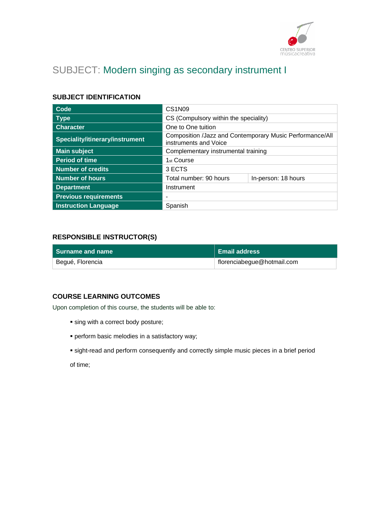

# SUBJECT: Modern singing as secondary instrument I

# **SUBJECT IDENTIFICATION**

| Code                            | CS <sub>1</sub> N <sub>09</sub>                                                   |  |
|---------------------------------|-----------------------------------------------------------------------------------|--|
| <b>Type</b>                     | CS (Compulsory within the speciality)                                             |  |
| <b>Character</b>                | One to One tuition                                                                |  |
| Speciality/itinerary/instrument | Composition /Jazz and Contemporary Music Performance/All<br>instruments and Voice |  |
| <b>Main subject</b>             | Complementary instrumental training                                               |  |
| <b>Period of time</b>           | 1 <sub>st</sub> Course                                                            |  |
| <b>Number of credits</b>        | 3 ECTS                                                                            |  |
| <b>Number of hours</b>          | Total number: 90 hours<br>In-person: 18 hours                                     |  |
| <b>Department</b>               | Instrument                                                                        |  |
| <b>Previous requirements</b>    |                                                                                   |  |
| <b>Instruction Language</b>     | Spanish                                                                           |  |

### **RESPONSIBLE INSTRUCTOR(S)**

| l Surname and name | <b>Email address</b>       |
|--------------------|----------------------------|
| Begué, Florencia   | florenciabegue@hotmail.com |

### **COURSE LEARNING OUTCOMES**

Upon completion of this course, the students will be able to:

- **.** sing with a correct body posture;
- perform basic melodies in a satisfactory way;
- sight-read and perform consequently and correctly simple music pieces in a brief period

of time;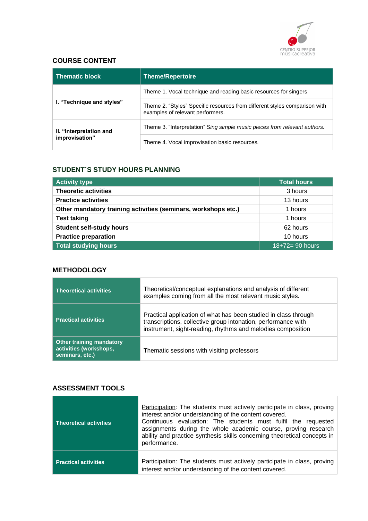

## **COURSE CONTENT**

| <b>Thematic block</b>     | Theme/Repertoire                                                                                               |  |
|---------------------------|----------------------------------------------------------------------------------------------------------------|--|
|                           | Theme 1. Vocal technique and reading basic resources for singers                                               |  |
| I. "Technique and styles" | Theme 2. "Styles" Specific resources from different styles comparison with<br>examples of relevant performers. |  |
| II. "Interpretation and   | Theme 3. "Interpretation" Sing simple music pieces from relevant authors.                                      |  |
| improvisation"            | Theme 4. Vocal improvisation basic resources.                                                                  |  |

### **STUDENT´S STUDY HOURS PLANNING**

| <b>Activity type</b>                                           | <b>Total hours</b>   |
|----------------------------------------------------------------|----------------------|
| <b>Theoretic activities</b>                                    | 3 hours              |
| <b>Practice activities</b>                                     | 13 hours             |
| Other mandatory training activities (seminars, workshops etc.) | 1 hours              |
| <b>Test taking</b>                                             | 1 hours              |
| <b>Student self-study hours</b>                                | 62 hours             |
| <b>Practice preparation</b>                                    | 10 hours             |
| <b>Total studying hours</b>                                    | $18 + 72 = 90$ hours |

### **METHODOLOGY**

| <b>Theoretical activities</b>                                                | Theoretical/conceptual explanations and analysis of different<br>examples coming from all the most relevant music styles.                                                                       |
|------------------------------------------------------------------------------|-------------------------------------------------------------------------------------------------------------------------------------------------------------------------------------------------|
| <b>Practical activities</b>                                                  | Practical application of what has been studied in class through<br>transcriptions, collective group intonation, performance with<br>instrument, sight-reading, rhythms and melodies composition |
| <b>Other training mandatory</b><br>activities (workshops,<br>seminars, etc.) | Thematic sessions with visiting professors                                                                                                                                                      |

### **ASSESSMENT TOOLS**

| Theoretical activities      | Participation: The students must actively participate in class, proving<br>interest and/or understanding of the content covered.<br>Continuous evaluation: The students must fulfil the requested<br>assignments during the whole academic course, proving research<br>ability and practice synthesis skills concerning theoretical concepts in<br>performance. |
|-----------------------------|-----------------------------------------------------------------------------------------------------------------------------------------------------------------------------------------------------------------------------------------------------------------------------------------------------------------------------------------------------------------|
| <b>Practical activities</b> | Participation: The students must actively participate in class, proving<br>interest and/or understanding of the content covered.                                                                                                                                                                                                                                |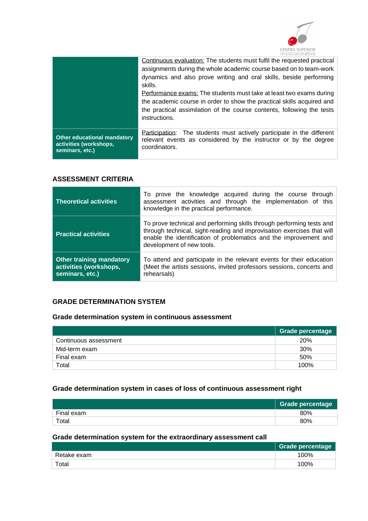

|                                                                                 | Continuous evaluation: The students must fulfil the requested practical<br>assignments during the whole academic course based on to team-work<br>dynamics and also prove writing and oral skills, beside performing<br>skills.<br>Performance exams: The students must take at least two exams during<br>the academic course in order to show the practical skills acquired and<br>the practical assimilation of the course contents, following the tests<br>instructions. |
|---------------------------------------------------------------------------------|----------------------------------------------------------------------------------------------------------------------------------------------------------------------------------------------------------------------------------------------------------------------------------------------------------------------------------------------------------------------------------------------------------------------------------------------------------------------------|
| <b>Other educational mandatory</b><br>activities (workshops,<br>seminars, etc.) | The students must actively participate in the different<br>Participation:<br>relevant events as considered by the instructor or by the degree<br>coordinators.                                                                                                                                                                                                                                                                                                             |

### **ASSESSMENT CRITERIA**

| <b>Theoretical activities</b>                                                | To prove the knowledge acquired during the course through<br>assessment activities and through the implementation of this<br>knowledge in the practical performance.                                                                              |  |
|------------------------------------------------------------------------------|---------------------------------------------------------------------------------------------------------------------------------------------------------------------------------------------------------------------------------------------------|--|
| <b>Practical activities</b>                                                  | To prove technical and performing skills through performing tests and<br>through technical, sight-reading and improvisation exercises that will<br>enable the identification of problematics and the improvement and<br>development of new tools. |  |
| <b>Other training mandatory</b><br>activities (workshops,<br>seminars, etc.) | To attend and participate in the relevant events for their education<br>(Meet the artists sessions, invited professors sessions, concerts and<br>rehearsals)                                                                                      |  |

# **GRADE DETERMINATION SYSTEM**

# **Grade determination system in continuous assessment**

|                       | <b>Grade percentage</b> |
|-----------------------|-------------------------|
| Continuous assessment | <b>20%</b>              |
| Mid-term exam         | 30%                     |
| Final exam            | 50%                     |
| Total                 | 100%                    |

# **Grade determination system in cases of loss of continuous assessment right**

|            | <b>Grade percentage</b> |
|------------|-------------------------|
| Final exam | 80%                     |
| Total      | 80%                     |

# **Grade determination system for the extraordinary assessment call**

|             | Grade percentage |
|-------------|------------------|
| Retake exam | 100%             |
| Total       | 100%             |